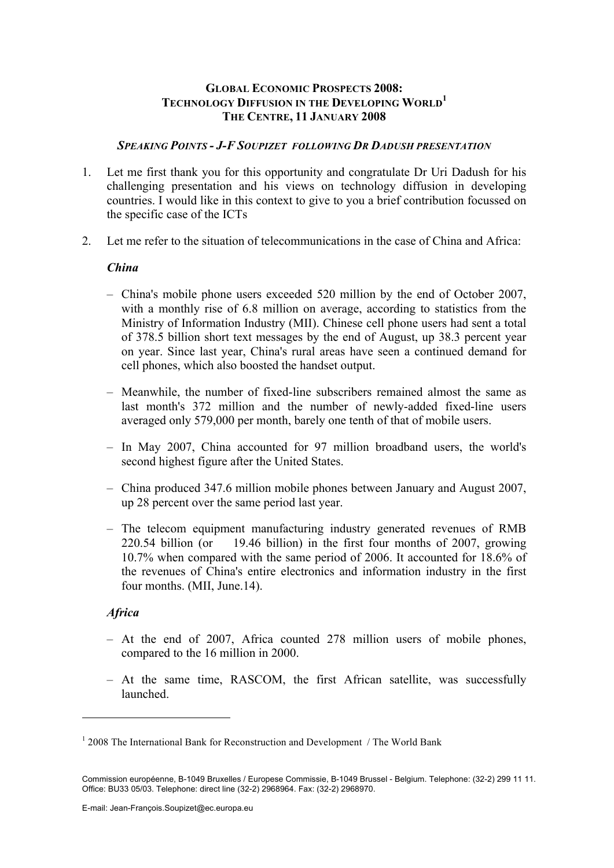## **GLOBAL ECONOMIC PROSPECTS 2008: TECHNOLOGY DIFFUSION IN THE DEVELOPING WORLD<sup>1</sup> THE CENTRE, 11 JANUARY 2008**

## *SPEAKING POINTS - J-F SOUPIZET FOLLOWING DR DADUSH PRESENTATION*

- 1. Let me first thank you for this opportunity and congratulate Dr Uri Dadush for his challenging presentation and his views on technology diffusion in developing countries. I would like in this context to give to you a brief contribution focussed on the specific case of the ICTs
- 2. Let me refer to the situation of telecommunications in the case of China and Africa:

## *China*

- China's mobile phone users exceeded 520 million by the end of October 2007, with a monthly rise of 6.8 million on average, according to statistics from the Ministry of Information Industry (MII). Chinese cell phone users had sent a total of 378.5 billion short text messages by the end of August, up 38.3 percent year on year. Since last year, China's rural areas have seen a continued demand for cell phones, which also boosted the handset output.
- Meanwhile, the number of fixed-line subscribers remained almost the same as last month's 372 million and the number of newly-added fixed-line users averaged only 579,000 per month, barely one tenth of that of mobile users.
- In May 2007, China accounted for 97 million broadband users, the world's second highest figure after the United States.
- China produced 347.6 million mobile phones between January and August 2007, up 28 percent over the same period last year.
- $-$  The telecom equipment manufacturing industry generated revenues of RMB 220.54 billion (or 19.46 billion) in the first four months of 2007, growing 10.7% when compared with the same period of 2006. It accounted for 18.6% of the revenues of China's entire electronics and information industry in the first four months. (MII, June.14).

## *Africa*

1

- At the end of 2007, Africa counted 278 million users of mobile phones, compared to the 16 million in 2000.
- At the same time, RASCOM, the first African satellite, was successfully launched.

 $1$  2008 The International Bank for Reconstruction and Development / The World Bank

Commission européenne, B-1049 Bruxelles / Europese Commissie, B-1049 Brussel - Belgium. Telephone: (32-2) 299 11 11. Office: BU33 05/03. Telephone: direct line (32-2) 2968964. Fax: (32-2) 2968970.